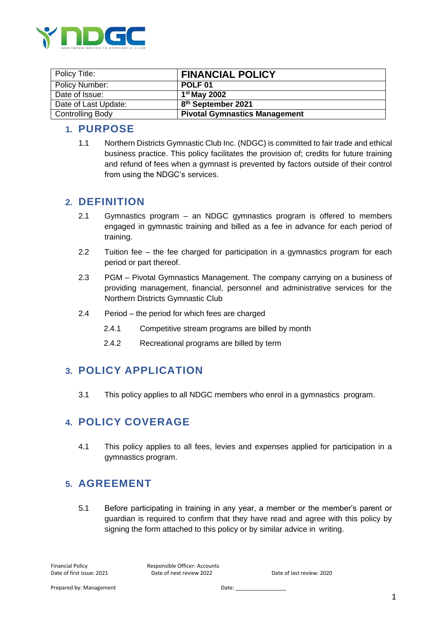

| Policy Title:           | <b>FINANCIAL POLICY</b>              |
|-------------------------|--------------------------------------|
| Policy Number:          | POLF <sub>01</sub>                   |
| Date of Issue:          | $1st$ May 2002                       |
| Date of Last Update:    | 8 <sup>th</sup> September 2021       |
| <b>Controlling Body</b> | <b>Pivotal Gymnastics Management</b> |

#### **1. PURPOSE**

1.1 Northern Districts Gymnastic Club Inc. (NDGC) is committed to fair trade and ethical business practice. This policy facilitates the provision of; credits for future training and refund of fees when a gymnast is prevented by factors outside of their control from using the NDGC's services.

#### **2. DEFINITION**

- 2.1 Gymnastics program an NDGC gymnastics program is offered to members engaged in gymnastic training and billed as a fee in advance for each period of training.
- 2.2 Tuition fee the fee charged for participation in a gymnastics program for each period or part thereof.
- 2.3 PGM Pivotal Gymnastics Management. The company carrying on a business of providing management, financial, personnel and administrative services for the Northern Districts Gymnastic Club
- 2.4 Period the period for which fees are charged
	- 2.4.1 Competitive stream programs are billed by month
	- 2.4.2 Recreational programs are billed by term

#### **3. POLICY APPLICATION**

3.1 This policy applies to all NDGC members who enrol in a gymnastics program.

#### **4. POLICY COVERAGE**

4.1 This policy applies to all fees, levies and expenses applied for participation in a gymnastics program.

#### **5. AGREEMENT**

5.1 Before participating in training in any year, a member or the member's parent or guardian is required to confirm that they have read and agree with this policy by signing the form attached to this policy or by similar advice in writing.

Financial Policy **Responsible Officer: Accounts** Date of first issue: 2021 Date of next review 2022 Date of last review: 2020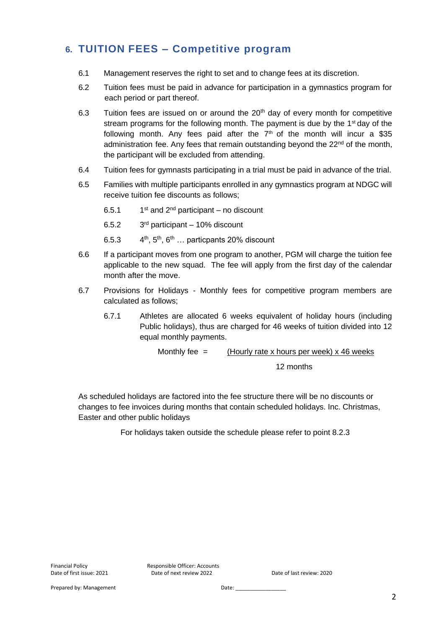# **6. TUITION FEES – Competitive program**

- 6.1 Management reserves the right to set and to change fees at its discretion.
- 6.2 Tuition fees must be paid in advance for participation in a gymnastics program for each period or part thereof.
- 6.3 Tuition fees are issued on or around the  $20<sup>th</sup>$  day of every month for competitive stream programs for the following month. The payment is due by the  $1<sup>st</sup>$  day of the following month. Any fees paid after the  $7<sup>th</sup>$  of the month will incur a \$35 administration fee. Any fees that remain outstanding beyond the 22<sup>nd</sup> of the month, the participant will be excluded from attending.
- 6.4 Tuition fees for gymnasts participating in a trial must be paid in advance of the trial.
- 6.5 Families with multiple participants enrolled in any gymnastics program at NDGC will receive tuition fee discounts as follows;
	- 6.51  $1<sup>st</sup>$  and  $2<sup>nd</sup>$  participant – no discount
	- $6.5.2$  $3<sup>rd</sup>$  participant – 10% discount
	- 6.5.3 4 4<sup>th</sup>, 5<sup>th</sup>, 6<sup>th</sup> ... particpants 20% discount
- 6.6 If a participant moves from one program to another, PGM will charge the tuition fee applicable to the new squad. The fee will apply from the first day of the calendar month after the move.
- 6.7 Provisions for Holidays Monthly fees for competitive program members are calculated as follows;
	- 6.7.1 Athletes are allocated 6 weeks equivalent of holiday hours (including Public holidays), thus are charged for 46 weeks of tuition divided into 12 equal monthly payments.

Monthly fee  $=$  (Hourly rate x hours per week) x 46 weeks

12 months

As scheduled holidays are factored into the fee structure there will be no discounts or changes to fee invoices during months that contain scheduled holidays. Inc. Christmas, Easter and other public holidays

For holidays taken outside the schedule please refer to point 8.2.3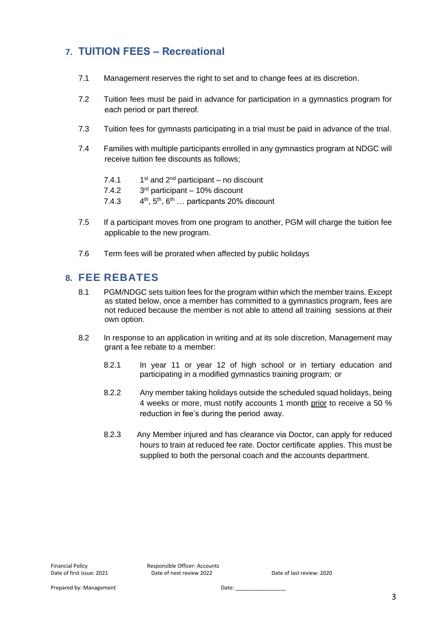# **7. TUITION FEES – Recreational**

- 7.1 Management reserves the right to set and to change fees at its discretion.
- 7.2 Tuition fees must be paid in advance for participation in a gymnastics program for each period or part thereof.
- 7.3 Tuition fees for gymnasts participating in a trial must be paid in advance of the trial.
- 7.4 Families with multiple participants enrolled in any gymnastics program at NDGC will receive tuition fee discounts as follows;
	- $7.4.1$  $1<sup>st</sup>$  and  $2<sup>nd</sup>$  participant – no discount
	- $7.4.2$  $3<sup>rd</sup>$  participant – 10% discount
	- $7.4.3$ 4<sup>th</sup>, 5<sup>th</sup>, 6<sup>th</sup> ... particpants 20% discount
- 7.5 If a participant moves from one program to another, PGM will charge the tuition fee applicable to the new program.
- 7.6 Term fees will be prorated when affected by public holidays

#### **8. FEE REBATES**

- 8.1 PGM/NDGC sets tuition fees for the program within which the member trains. Except as stated below, once a member has committed to a gymnastics program, fees are not reduced because the member is not able to attend all training sessions at their own option.
- 8.2 In response to an application in writing and at its sole discretion, Management may grant a fee rebate to a member:
	- 8.2.1 In year 11 or year 12 of high school or in tertiary education and participating in a modified gymnastics training program; or
	- 8.2.2 Any member taking holidays outside the scheduled squad holidays, being 4 weeks or more, must notify accounts 1 month prior to receive a 50 % reduction in fee's during the period away.
	- 8.2.3 Any Member injured and has clearance via Doctor, can apply for reduced hours to train at reduced fee rate. Doctor certificate applies. This must be supplied to both the personal coach and the accounts department.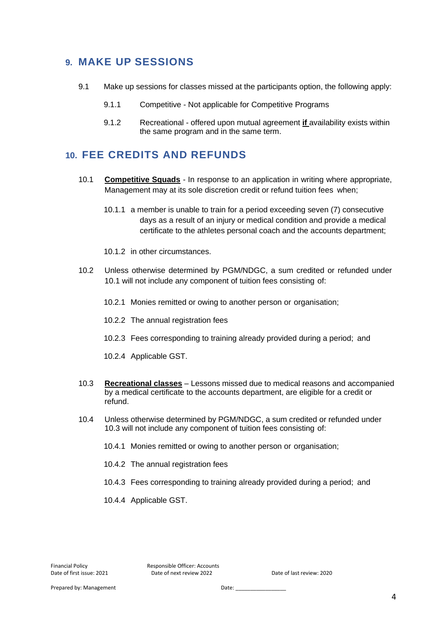### **9. MAKE UP SESSIONS**

- 9.1 Make up sessions for classes missed at the participants option, the following apply:
	- 9.1.1 Competitive Not applicable for Competitive Programs
	- 9.1.2 Recreational offered upon mutual agreement **if** availability exists within the same program and in the same term.

#### **10. FEE CREDITS AND REFUNDS**

- 10.1 **Competitive Squads** In response to an application in writing where appropriate, Management may at its sole discretion credit or refund tuition fees when;
	- 10.1.1 a member is unable to train for a period exceeding seven (7) consecutive days as a result of an injury or medical condition and provide a medical certificate to the athletes personal coach and the accounts department;
	- 10.1.2 in other circumstances.
- 10.2 Unless otherwise determined by PGM/NDGC, a sum credited or refunded under 10.1 will not include any component of tuition fees consisting of:
	- 10.2.1 Monies remitted or owing to another person or organisation;
	- 10.2.2 The annual registration fees
	- 10.2.3 Fees corresponding to training already provided during a period; and
	- 10.2.4 Applicable GST.
- 10.3 **Recreational classes** Lessons missed due to medical reasons and accompanied by a medical certificate to the accounts department, are eligible for a credit or refund.
- 10.4 Unless otherwise determined by PGM/NDGC, a sum credited or refunded under 10.3 will not include any component of tuition fees consisting of:
	- 10.4.1 Monies remitted or owing to another person or organisation;
	- 10.4.2 The annual registration fees
	- 10.4.3 Fees corresponding to training already provided during a period; and
	- 10.4.4 Applicable GST.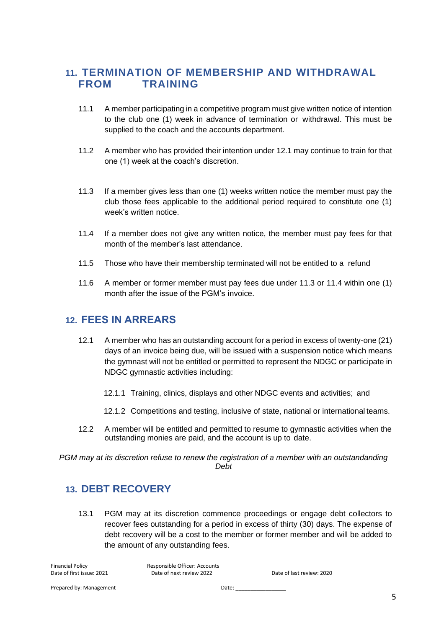### **11. TERMINATION OF MEMBERSHIP AND WITHDRAWAL FROM TRAINING**

- 11.1 A member participating in a competitive program must give written notice of intention to the club one (1) week in advance of termination or withdrawal. This must be supplied to the coach and the accounts department.
- 11.2 A member who has provided their intention under 12.1 may continue to train for that one (1) week at the coach's discretion.
- 11.3 If a member gives less than one (1) weeks written notice the member must pay the club those fees applicable to the additional period required to constitute one (1) week's written notice.
- 11.4 If a member does not give any written notice, the member must pay fees for that month of the member's last attendance.
- 11.5 Those who have their membership terminated will not be entitled to a refund
- 11.6 A member or former member must pay fees due under 11.3 or 11.4 within one (1) month after the issue of the PGM's invoice.

#### **12. FEES IN ARREARS**

- 12.1 A member who has an outstanding account for a period in excess of twenty-one (21) days of an invoice being due, will be issued with a suspension notice which means the gymnast will not be entitled or permitted to represent the NDGC or participate in NDGC gymnastic activities including:
	- 12.1.1 Training, clinics, displays and other NDGC events and activities; and
	- 12.1.2 Competitions and testing, inclusive of state, national or international teams.
- 12.2 A member will be entitled and permitted to resume to gymnastic activities when the outstanding monies are paid, and the account is up to date.

*PGM may at its discretion refuse to renew the registration of a member with an outstandanding Debt*

#### **13. DEBT RECOVERY**

13.1 PGM may at its discretion commence proceedings or engage debt collectors to recover fees outstanding for a period in excess of thirty (30) days. The expense of debt recovery will be a cost to the member or former member and will be added to the amount of any outstanding fees.

Financial Policy Responsible Officer: Accounts Date of first issue: 2021 Date of next review 2022 Date of last review: 2020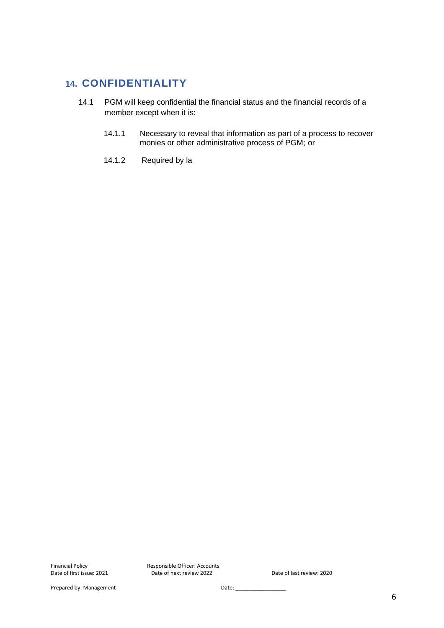### **14. CONFIDENTIALITY**

- 14.1 PGM will keep confidential the financial status and the financial records of a member except when it is:
	- 14.1.1 Necessary to reveal that information as part of a process to recover monies or other administrative process of PGM; or
	- 14.1.2 Required by la

Financial Policy **Responsible Officer: Accounts**<br>Date of first issue: 2021 **Date of next review 2022** Date of next review 2022 Date of last review: 2020

Prepared by: Management Date: \_\_\_\_\_\_\_\_\_\_\_\_\_\_\_\_\_